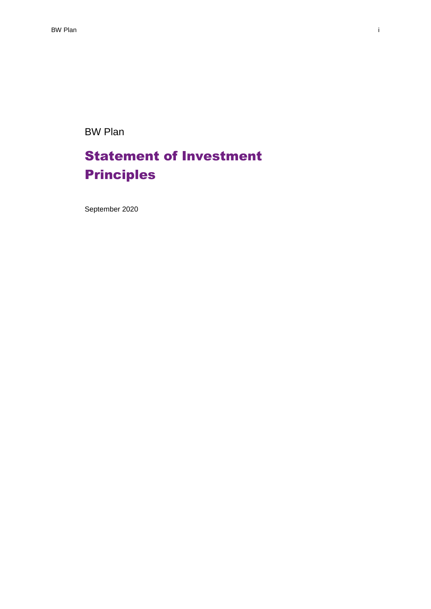BW Plan

# Statement of Investment Principles

September 2020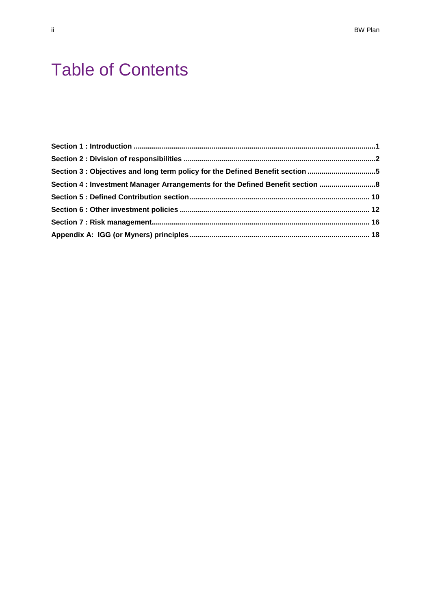# Table of Contents

| Section 3 : Objectives and long term policy for the Defined Benefit section 5  |  |
|--------------------------------------------------------------------------------|--|
| Section 4 : Investment Manager Arrangements for the Defined Benefit section  8 |  |
|                                                                                |  |
|                                                                                |  |
|                                                                                |  |
|                                                                                |  |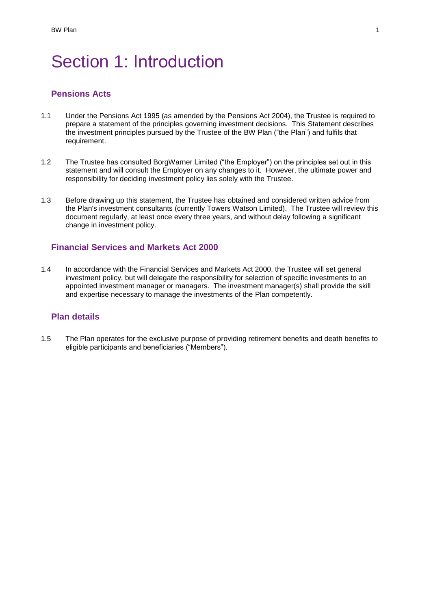# Section 1: Introduction

# **Pensions Acts**

- 1.1 Under the Pensions Act 1995 (as amended by the Pensions Act 2004), the Trustee is required to prepare a statement of the principles governing investment decisions. This Statement describes the investment principles pursued by the Trustee of the BW Plan ("the Plan") and fulfils that requirement.
- 1.2 The Trustee has consulted BorgWarner Limited ("the Employer") on the principles set out in this statement and will consult the Employer on any changes to it. However, the ultimate power and responsibility for deciding investment policy lies solely with the Trustee.
- 1.3 Before drawing up this statement, the Trustee has obtained and considered written advice from the Plan's investment consultants (currently Towers Watson Limited). The Trustee will review this document regularly, at least once every three years, and without delay following a significant change in investment policy.

## **Financial Services and Markets Act 2000**

1.4 In accordance with the Financial Services and Markets Act 2000, the Trustee will set general investment policy, but will delegate the responsibility for selection of specific investments to an appointed investment manager or managers. The investment manager(s) shall provide the skill and expertise necessary to manage the investments of the Plan competently.

## **Plan details**

1.5 The Plan operates for the exclusive purpose of providing retirement benefits and death benefits to eligible participants and beneficiaries ("Members").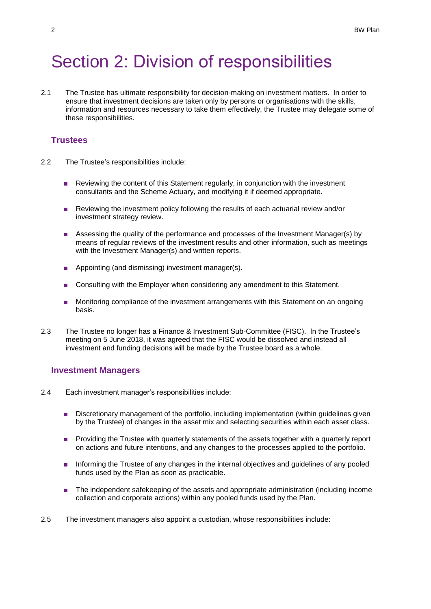# Section 2: Division of responsibilities

2.1 The Trustee has ultimate responsibility for decision-making on investment matters. In order to ensure that investment decisions are taken only by persons or organisations with the skills, information and resources necessary to take them effectively, the Trustee may delegate some of these responsibilities.

## **Trustees**

- 2.2 The Trustee's responsibilities include:
	- Reviewing the content of this Statement regularly, in conjunction with the investment consultants and the Scheme Actuary, and modifying it if deemed appropriate.
	- Reviewing the investment policy following the results of each actuarial review and/or investment strategy review.
	- Assessing the quality of the performance and processes of the Investment Manager(s) by means of regular reviews of the investment results and other information, such as meetings with the Investment Manager(s) and written reports.
	- Appointing (and dismissing) investment manager(s).
	- Consulting with the Employer when considering any amendment to this Statement.
	- Monitoring compliance of the investment arrangements with this Statement on an ongoing basis.
- 2.3 The Trustee no longer has a Finance & Investment Sub-Committee (FISC). In the Trustee's meeting on 5 June 2018, it was agreed that the FISC would be dissolved and instead all investment and funding decisions will be made by the Trustee board as a whole.

### **Investment Managers**

- 2.4 Each investment manager's responsibilities include:
	- Discretionary management of the portfolio, including implementation (within guidelines given by the Trustee) of changes in the asset mix and selecting securities within each asset class.
	- Providing the Trustee with quarterly statements of the assets together with a quarterly report on actions and future intentions, and any changes to the processes applied to the portfolio.
	- Informing the Trustee of any changes in the internal objectives and guidelines of any pooled funds used by the Plan as soon as practicable.
	- The independent safekeeping of the assets and appropriate administration (including income collection and corporate actions) within any pooled funds used by the Plan.
- 2.5 The investment managers also appoint a custodian, whose responsibilities include: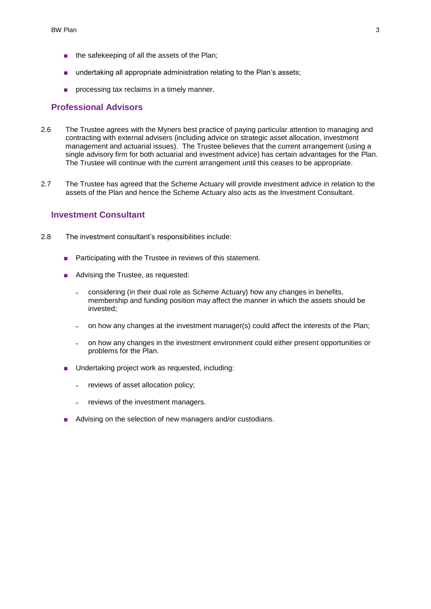- the safekeeping of all the assets of the Plan;
- undertaking all appropriate administration relating to the Plan's assets;
- processing tax reclaims in a timely manner.

## **Professional Advisors**

- 2.6 The Trustee agrees with the Myners best practice of paying particular attention to managing and contracting with external advisers (including advice on strategic asset allocation, investment management and actuarial issues). The Trustee believes that the current arrangement (using a single advisory firm for both actuarial and investment advice) has certain advantages for the Plan. The Trustee will continue with the current arrangement until this ceases to be appropriate.
- 2.7 The Trustee has agreed that the Scheme Actuary will provide investment advice in relation to the assets of the Plan and hence the Scheme Actuary also acts as the Investment Consultant.

## **Investment Consultant**

- 2.8 The investment consultant's responsibilities include:
	- Participating with the Trustee in reviews of this statement.
	- Advising the Trustee, as requested:
		- ˗ considering (in their dual role as Scheme Actuary) how any changes in benefits, membership and funding position may affect the manner in which the assets should be invested;
		- ˗ on how any changes at the investment manager(s) could affect the interests of the Plan;
		- ˗ on how any changes in the investment environment could either present opportunities or problems for the Plan.
	- Undertaking project work as requested, including:
		- reviews of asset allocation policy;
		- reviews of the investment managers.
	- Advising on the selection of new managers and/or custodians.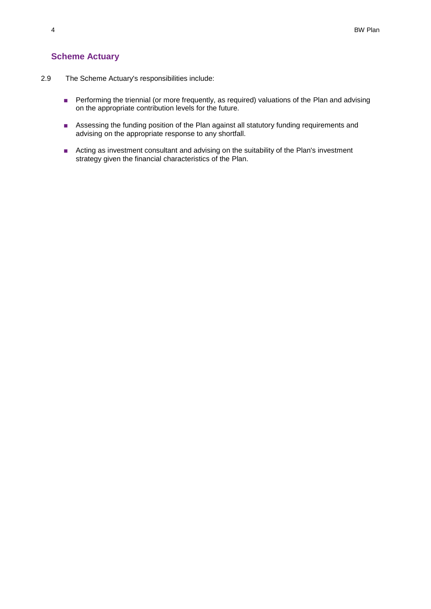# **Scheme Actuary**

- 2.9 The Scheme Actuary's responsibilities include:
	- Performing the triennial (or more frequently, as required) valuations of the Plan and advising on the appropriate contribution levels for the future.
	- Assessing the funding position of the Plan against all statutory funding requirements and advising on the appropriate response to any shortfall.
	- Acting as investment consultant and advising on the suitability of the Plan's investment strategy given the financial characteristics of the Plan.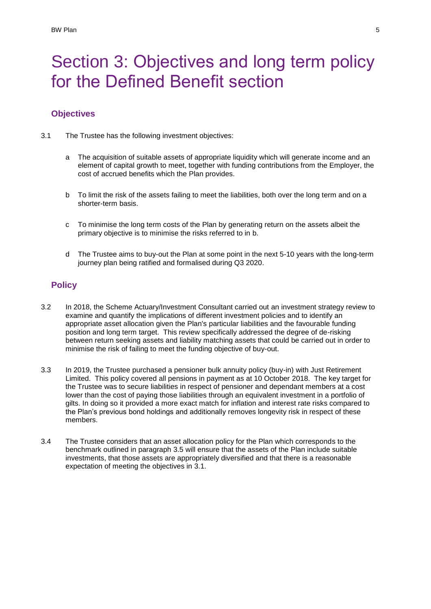# Section 3: Objectives and long term policy for the Defined Benefit section

# **Objectives**

- <span id="page-6-1"></span><span id="page-6-0"></span>3.1 The Trustee has the following investment objectives:
	- a The acquisition of suitable assets of appropriate liquidity which will generate income and an element of capital growth to meet, together with funding contributions from the Employer, the cost of accrued benefits which the Plan provides.
	- b To limit the risk of the assets failing to meet the liabilities, both over the long term and on a shorter-term basis.
	- c To minimise the long term costs of the Plan by generating return on the assets albeit the primary objective is to minimise the risks referred to in [b.](#page-6-0)
	- d The Trustee aims to buy-out the Plan at some point in the next 5-10 years with the long-term journey plan being ratified and formalised during Q3 2020.

# **Policy**

- 3.2 In 2018, the Scheme Actuary/Investment Consultant carried out an investment strategy review to examine and quantify the implications of different investment policies and to identify an appropriate asset allocation given the Plan's particular liabilities and the favourable funding position and long term target. This review specifically addressed the degree of de-risking between return seeking assets and liability matching assets that could be carried out in order to minimise the risk of failing to meet the funding objective of buy-out.
- 3.3 In 2019, the Trustee purchased a pensioner bulk annuity policy (buy-in) with Just Retirement Limited. This policy covered all pensions in payment as at 10 October 2018. The key target for the Trustee was to secure liabilities in respect of pensioner and dependant members at a cost lower than the cost of paying those liabilities through an equivalent investment in a portfolio of gilts. In doing so it provided a more exact match for inflation and interest rate risks compared to the Plan's previous bond holdings and additionally removes longevity risk in respect of these members.
- 3.4 The Trustee considers that an asset allocation policy for the Plan which corresponds to the benchmark outlined in paragraph 3.5 will ensure that the assets of the Plan include suitable investments, that those assets are appropriately diversified and that there is a reasonable expectation of meeting the objectives in [3.1.](#page-6-1)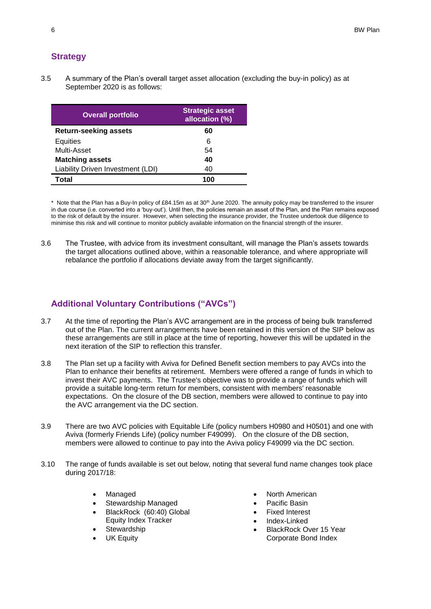# **Strategy**

3.5 A summary of the Plan's overall target asset allocation (excluding the buy-in policy) as at September 2020 is as follows:

| <b>Overall portfolio</b>          | <b>Strategic asset</b><br>allocation (%) |
|-----------------------------------|------------------------------------------|
| <b>Return-seeking assets</b>      | 60                                       |
| Equities                          | 6                                        |
| Multi-Asset                       | 54                                       |
| <b>Matching assets</b>            | 40                                       |
| Liability Driven Investment (LDI) | 40                                       |
| Total                             | 100                                      |

\* Note that the Plan has a Buy-In policy of £84.15m as at 30<sup>th</sup> June 2020. The annuity policy may be transferred to the insurer in due course (i.e. converted into a 'buy-out'). Until then, the policies remain an asset of the Plan, and the Plan remains exposed to the risk of default by the insurer. However, when selecting the insurance provider, the Trustee undertook due diligence to minimise this risk and will continue to monitor publicly available information on the financial strength of the insurer.

3.6 The Trustee, with advice from its investment consultant, will manage the Plan's assets towards the target allocations outlined above, within a reasonable tolerance, and where appropriate will rebalance the portfolio if allocations deviate away from the target significantly.

# **Additional Voluntary Contributions ("AVCs")**

- 3.7 At the time of reporting the Plan's AVC arrangement are in the process of being bulk transferred out of the Plan. The current arrangements have been retained in this version of the SIP below as these arrangements are still in place at the time of reporting, however this will be updated in the next iteration of the SIP to reflection this transfer.
- 3.8 The Plan set up a facility with Aviva for Defined Benefit section members to pay AVCs into the Plan to enhance their benefits at retirement. Members were offered a range of funds in which to invest their AVC payments. The Trustee's objective was to provide a range of funds which will provide a suitable long-term return for members, consistent with members' reasonable expectations. On the closure of the DB section, members were allowed to continue to pay into the AVC arrangement via the DC section.
- 3.9 There are two AVC policies with Equitable Life (policy numbers H0980 and H0501) and one with Aviva (formerly Friends Life) (policy number F49099). On the closure of the DB section, members were allowed to continue to pay into the Aviva policy F49099 via the DC section.
- 3.10 The range of funds available is set out below, noting that several fund name changes took place during 2017/18:
	- Managed
	- Stewardship Managed
	- BlackRock (60:40) Global
	- Equity Index Tracker
	- **Stewardship**
	- UK Equity
- North American
- Pacific Basin
- Fixed Interest
- Index-Linked
- BlackRock Over 15 Year Corporate Bond Index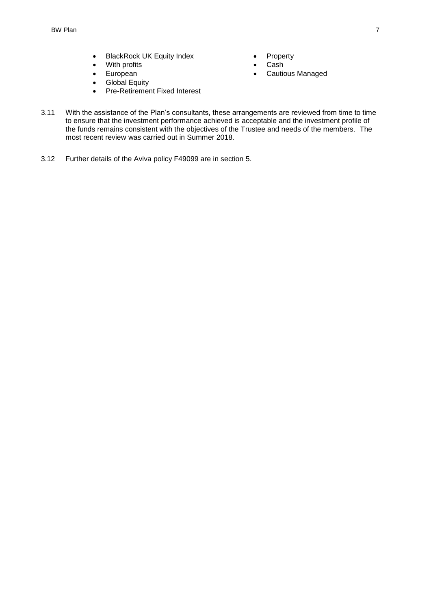- BlackRock UK Equity Index
- With profits
- European
- **Global Equity**
- Pre-Retirement Fixed Interest
- **Property**
- Cash
- Cautious Managed
- 3.11 With the assistance of the Plan's consultants, these arrangements are reviewed from time to time to ensure that the investment performance achieved is acceptable and the investment profile of the funds remains consistent with the objectives of the Trustee and needs of the members. The most recent review was carried out in Summer 2018.
- 3.12 Further details of the Aviva policy F49099 are in section 5.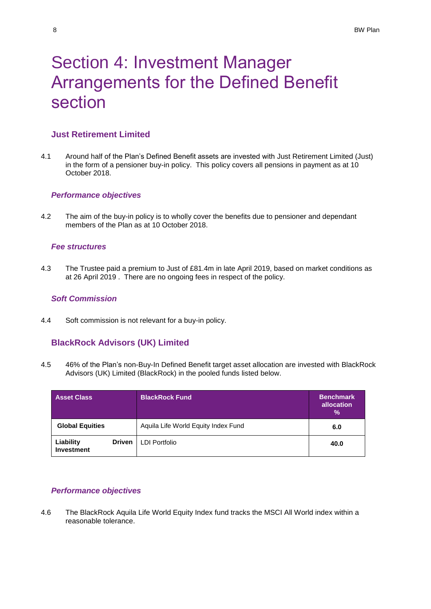# Section 4: Investment Manager Arrangements for the Defined Benefit section

# **Just Retirement Limited**

4.1 Around half of the Plan's Defined Benefit assets are invested with Just Retirement Limited (Just) in the form of a pensioner buy-in policy. This policy covers all pensions in payment as at 10 October 2018.

## *Performance objectives*

4.2 The aim of the buy-in policy is to wholly cover the benefits due to pensioner and dependant members of the Plan as at 10 October 2018.

## *Fee structures*

4.3 The Trustee paid a premium to Just of £81.4m in late April 2019, based on market conditions as at 26 April 2019 . There are no ongoing fees in respect of the policy.

## *Soft Commission*

4.4 Soft commission is not relevant for a buy-in policy.

# **BlackRock Advisors (UK) Limited**

4.5 46% of the Plan's non-Buy-In Defined Benefit target asset allocation are invested with BlackRock Advisors (UK) Limited (BlackRock) in the pooled funds listed below.

| <b>Asset Class</b>             |               | <b>BlackRock Fund</b>               | <b>Benchmark</b><br>allocation<br>$\frac{9}{6}$ |  |
|--------------------------------|---------------|-------------------------------------|-------------------------------------------------|--|
| <b>Global Equities</b>         |               | Aquila Life World Equity Index Fund | 6.0                                             |  |
| Liability<br><b>Investment</b> | <b>Driven</b> | <b>LDI Portfolio</b>                | 40.0                                            |  |

### *Performance objectives*

4.6 The BlackRock Aquila Life World Equity Index fund tracks the MSCI All World index within a reasonable tolerance.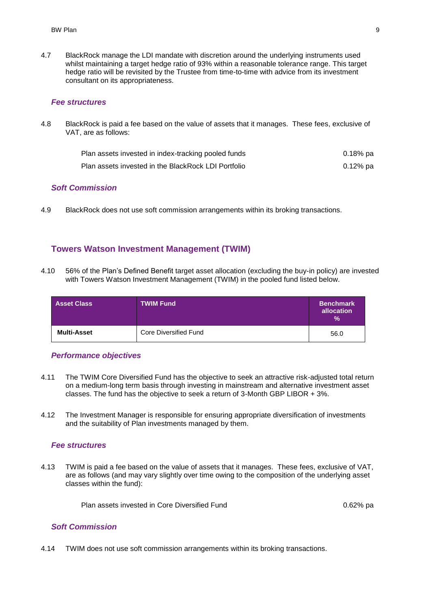4.7 BlackRock manage the LDI mandate with discretion around the underlying instruments used whilst maintaining a target hedge ratio of 93% within a reasonable tolerance range. This target hedge ratio will be revisited by the Trustee from time-to-time with advice from its investment consultant on its appropriateness.

#### *Fee structures*

4.8 BlackRock is paid a fee based on the value of assets that it manages. These fees, exclusive of VAT, are as follows:

| Plan assets invested in index-tracking pooled funds | 0.18% pa |
|-----------------------------------------------------|----------|
| Plan assets invested in the BlackRock LDI Portfolio | 0.12% pa |

### *Soft Commission*

4.9 BlackRock does not use soft commission arrangements within its broking transactions.

## **Towers Watson Investment Management (TWIM)**

4.10 56% of the Plan's Defined Benefit target asset allocation (excluding the buy-in policy) are invested with Towers Watson Investment Management (TWIM) in the pooled fund listed below.

| <b>Asset Class</b> | <b>TWIM Fund</b>      | <b>Benchmark</b><br>allocation<br>$\%$ |
|--------------------|-----------------------|----------------------------------------|
| <b>Multi-Asset</b> | Core Diversified Fund | 56.0                                   |

#### *Performance objectives*

- 4.11 The TWIM Core Diversified Fund has the objective to seek an attractive risk-adjusted total return on a medium-long term basis through investing in mainstream and alternative investment asset classes. The fund has the objective to seek a return of 3-Month GBP LIBOR + 3%.
- 4.12 The Investment Manager is responsible for ensuring appropriate diversification of investments and the suitability of Plan investments managed by them.

#### *Fee structures*

4.13 TWIM is paid a fee based on the value of assets that it manages. These fees, exclusive of VAT, are as follows (and may vary slightly over time owing to the composition of the underlying asset classes within the fund):

Plan assets invested in Core Diversified Fund **Diversified Fund** 0.62% pa

#### *Soft Commission*

4.14 TWIM does not use soft commission arrangements within its broking transactions.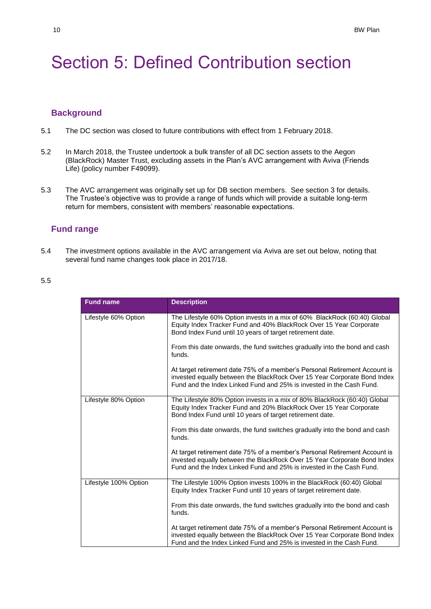# Section 5: Defined Contribution section

## **Background**

- 5.1 The DC section was closed to future contributions with effect from 1 February 2018.
- 5.2 In March 2018, the Trustee undertook a bulk transfer of all DC section assets to the Aegon (BlackRock) Master Trust, excluding assets in the Plan's AVC arrangement with Aviva (Friends Life) (policy number F49099).
- 5.3 The AVC arrangement was originally set up for DB section members. See section 3 for details. The Trustee's objective was to provide a range of funds which will provide a suitable long-term return for members, consistent with members' reasonable expectations.

### **Fund range**

5.4 The investment options available in the AVC arrangement via Aviva are set out below, noting that several fund name changes took place in 2017/18.

### 5.5

| <b>Fund name</b>      | <b>Description</b>                                                                                                                                                                                                             |
|-----------------------|--------------------------------------------------------------------------------------------------------------------------------------------------------------------------------------------------------------------------------|
| Lifestyle 60% Option  | The Lifestyle 60% Option invests in a mix of 60% BlackRock (60:40) Global<br>Equity Index Tracker Fund and 40% BlackRock Over 15 Year Corporate<br>Bond Index Fund until 10 years of target retirement date.                   |
|                       | From this date onwards, the fund switches gradually into the bond and cash<br>funds.                                                                                                                                           |
|                       | At target retirement date 75% of a member's Personal Retirement Account is<br>invested equally between the BlackRock Over 15 Year Corporate Bond Index<br>Fund and the Index Linked Fund and 25% is invested in the Cash Fund. |
| Lifestyle 80% Option  | The Lifestyle 80% Option invests in a mix of 80% BlackRock (60:40) Global<br>Equity Index Tracker Fund and 20% BlackRock Over 15 Year Corporate<br>Bond Index Fund until 10 years of target retirement date.                   |
|                       | From this date onwards, the fund switches gradually into the bond and cash<br>funds.                                                                                                                                           |
|                       | At target retirement date 75% of a member's Personal Retirement Account is<br>invested equally between the BlackRock Over 15 Year Corporate Bond Index<br>Fund and the Index Linked Fund and 25% is invested in the Cash Fund. |
| Lifestyle 100% Option | The Lifestyle 100% Option invests 100% in the BlackRock (60:40) Global<br>Equity Index Tracker Fund until 10 years of target retirement date.                                                                                  |
|                       | From this date onwards, the fund switches gradually into the bond and cash<br>funds.                                                                                                                                           |
|                       | At target retirement date 75% of a member's Personal Retirement Account is<br>invested equally between the BlackRock Over 15 Year Corporate Bond Index<br>Fund and the Index Linked Fund and 25% is invested in the Cash Fund. |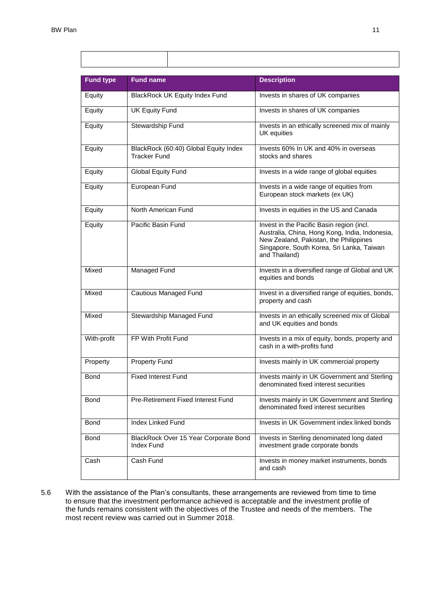Г

| <b>Fund type</b> | <b>Fund name</b>                                             | <b>Description</b>                                                                                                                                                                                  |  |  |
|------------------|--------------------------------------------------------------|-----------------------------------------------------------------------------------------------------------------------------------------------------------------------------------------------------|--|--|
| Equity           | BlackRock UK Equity Index Fund                               | Invests in shares of UK companies                                                                                                                                                                   |  |  |
| Equity           | <b>UK Equity Fund</b>                                        | Invests in shares of UK companies                                                                                                                                                                   |  |  |
| Equity           | Stewardship Fund                                             | Invests in an ethically screened mix of mainly<br>UK equities                                                                                                                                       |  |  |
| Equity           | BlackRock (60:40) Global Equity Index<br><b>Tracker Fund</b> | Invests 60% In UK and 40% in overseas<br>stocks and shares                                                                                                                                          |  |  |
| Equity           | Global Equity Fund                                           | Invests in a wide range of global equities                                                                                                                                                          |  |  |
| Equity           | European Fund                                                | Invests in a wide range of equities from<br>European stock markets (ex UK)                                                                                                                          |  |  |
| Equity           | North American Fund                                          | Invests in equities in the US and Canada                                                                                                                                                            |  |  |
| Equity           | Pacific Basin Fund                                           | Invest in the Pacific Basin region (incl.<br>Australia, China, Hong Kong, India, Indonesia,<br>New Zealand, Pakistan, the Philippines<br>Singapore, South Korea, Sri Lanka, Taiwan<br>and Thailand) |  |  |
| Mixed            | <b>Managed Fund</b>                                          | Invests in a diversified range of Global and UK<br>equities and bonds                                                                                                                               |  |  |
| Mixed            | Cautious Managed Fund                                        | Invest in a diversified range of equities, bonds,<br>property and cash                                                                                                                              |  |  |
| Mixed            | Stewardship Managed Fund                                     | Invests in an ethically screened mix of Global<br>and UK equities and bonds                                                                                                                         |  |  |
| With-profit      | FP With Profit Fund                                          | Invests in a mix of equity, bonds, property and<br>cash in a with-profits fund                                                                                                                      |  |  |
| Property         | <b>Property Fund</b>                                         | Invests mainly in UK commercial property                                                                                                                                                            |  |  |
| Bond             | <b>Fixed Interest Fund</b>                                   | Invests mainly in UK Government and Sterling<br>denominated fixed interest securities                                                                                                               |  |  |
| Bond             | Pre-Retirement Fixed Interest Fund                           | Invests mainly in UK Government and Sterling<br>denominated fixed interest securities                                                                                                               |  |  |
| Bond             | <b>Index Linked Fund</b>                                     | Invests in UK Government index linked bonds                                                                                                                                                         |  |  |
| Bond             | BlackRock Over 15 Year Corporate Bond<br><b>Index Fund</b>   | Invests in Sterling denominated long dated<br>investment grade corporate bonds                                                                                                                      |  |  |
| Cash             | Cash Fund                                                    | Invests in money market instruments, bonds<br>and cash                                                                                                                                              |  |  |

5.6 With the assistance of the Plan's consultants, these arrangements are reviewed from time to time to ensure that the investment performance achieved is acceptable and the investment profile of the funds remains consistent with the objectives of the Trustee and needs of the members. The most recent review was carried out in Summer 2018.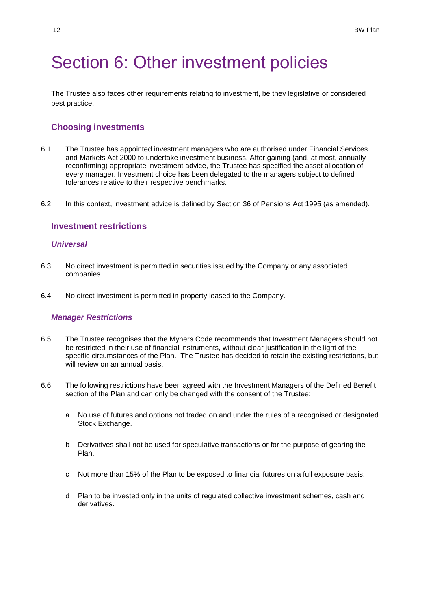# Section 6: Other investment policies

The Trustee also faces other requirements relating to investment, be they legislative or considered best practice.

### **Choosing investments**

- 6.1 The Trustee has appointed investment managers who are authorised under Financial Services and Markets Act 2000 to undertake investment business. After gaining (and, at most, annually reconfirming) appropriate investment advice, the Trustee has specified the asset allocation of every manager. Investment choice has been delegated to the managers subject to defined tolerances relative to their respective benchmarks.
- 6.2 In this context, investment advice is defined by Section 36 of Pensions Act 1995 (as amended).

## **Investment restrictions**

### *Universal*

- 6.3 No direct investment is permitted in securities issued by the Company or any associated companies.
- 6.4 No direct investment is permitted in property leased to the Company.

#### *Manager Restrictions*

- 6.5 The Trustee recognises that the Myners Code recommends that Investment Managers should not be restricted in their use of financial instruments, without clear justification in the light of the specific circumstances of the Plan. The Trustee has decided to retain the existing restrictions, but will review on an annual basis.
- 6.6 The following restrictions have been agreed with the Investment Managers of the Defined Benefit section of the Plan and can only be changed with the consent of the Trustee:
	- a No use of futures and options not traded on and under the rules of a recognised or designated Stock Exchange.
	- b Derivatives shall not be used for speculative transactions or for the purpose of gearing the Plan.
	- c Not more than 15% of the Plan to be exposed to financial futures on a full exposure basis.
	- d Plan to be invested only in the units of regulated collective investment schemes, cash and derivatives.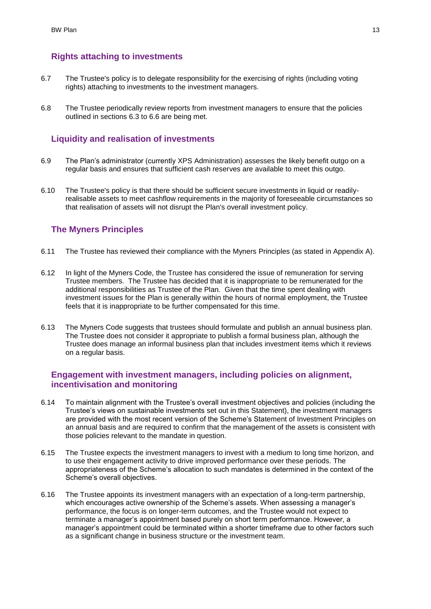# **Rights attaching to investments**

- 6.7 The Trustee's policy is to delegate responsibility for the exercising of rights (including voting rights) attaching to investments to the investment managers.
- 6.8 The Trustee periodically review reports from investment managers to ensure that the policies outlined in sections 6.3 to 6.6 are being met.

## **Liquidity and realisation of investments**

- 6.9 The Plan's administrator (currently XPS Administration) assesses the likely benefit outgo on a regular basis and ensures that sufficient cash reserves are available to meet this outgo.
- 6.10 The Trustee's policy is that there should be sufficient secure investments in liquid or readilyrealisable assets to meet cashflow requirements in the majority of foreseeable circumstances so that realisation of assets will not disrupt the Plan's overall investment policy.

## **The Myners Principles**

- 6.11 The Trustee has reviewed their compliance with the Myners Principles (as stated in Appendix A).
- 6.12 In light of the Myners Code, the Trustee has considered the issue of remuneration for serving Trustee members. The Trustee has decided that it is inappropriate to be remunerated for the additional responsibilities as Trustee of the Plan. Given that the time spent dealing with investment issues for the Plan is generally within the hours of normal employment, the Trustee feels that it is inappropriate to be further compensated for this time.
- 6.13 The Myners Code suggests that trustees should formulate and publish an annual business plan. The Trustee does not consider it appropriate to publish a formal business plan, although the Trustee does manage an informal business plan that includes investment items which it reviews on a regular basis.

# **Engagement with investment managers, including policies on alignment, incentivisation and monitoring**

- 6.14 To maintain alignment with the Trustee's overall investment objectives and policies (including the Trustee's views on sustainable investments set out in this Statement), the investment managers are provided with the most recent version of the Scheme's Statement of Investment Principles on an annual basis and are required to confirm that the management of the assets is consistent with those policies relevant to the mandate in question.
- 6.15 The Trustee expects the investment managers to invest with a medium to long time horizon, and to use their engagement activity to drive improved performance over these periods. The appropriateness of the Scheme's allocation to such mandates is determined in the context of the Scheme's overall objectives.
- 6.16 The Trustee appoints its investment managers with an expectation of a long-term partnership, which encourages active ownership of the Scheme's assets. When assessing a manager's performance, the focus is on longer-term outcomes, and the Trustee would not expect to terminate a manager's appointment based purely on short term performance. However, a manager's appointment could be terminated within a shorter timeframe due to other factors such as a significant change in business structure or the investment team.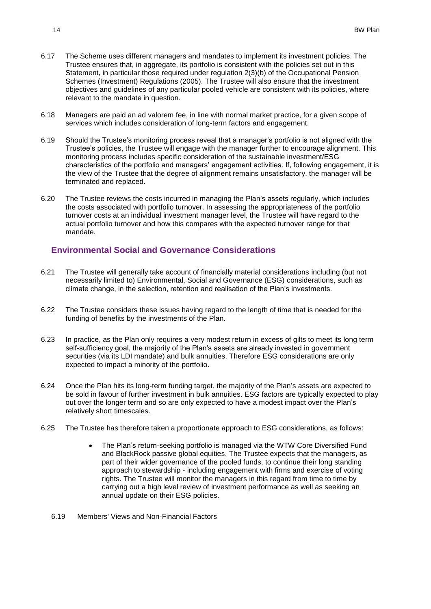- 6.17 The Scheme uses different managers and mandates to implement its investment policies. The Trustee ensures that, in aggregate, its portfolio is consistent with the policies set out in this Statement, in particular those required under regulation 2(3)(b) of the Occupational Pension Schemes (Investment) Regulations (2005). The Trustee will also ensure that the investment objectives and guidelines of any particular pooled vehicle are consistent with its policies, where relevant to the mandate in question.
- 6.18 Managers are paid an ad valorem fee, in line with normal market practice, for a given scope of services which includes consideration of long-term factors and engagement.
- 6.19 Should the Trustee's monitoring process reveal that a manager's portfolio is not aligned with the Trustee's policies, the Trustee will engage with the manager further to encourage alignment. This monitoring process includes specific consideration of the sustainable investment/ESG characteristics of the portfolio and managers' engagement activities. If, following engagement, it is the view of the Trustee that the degree of alignment remains unsatisfactory, the manager will be terminated and replaced.
- 6.20 The Trustee reviews the costs incurred in managing the Plan's assets regularly, which includes the costs associated with portfolio turnover. In assessing the appropriateness of the portfolio turnover costs at an individual investment manager level, the Trustee will have regard to the actual portfolio turnover and how this compares with the expected turnover range for that mandate.

# **Environmental Social and Governance Considerations**

- 6.21 The Trustee will generally take account of financially material considerations including (but not necessarily limited to) Environmental, Social and Governance (ESG) considerations, such as climate change, in the selection, retention and realisation of the Plan's investments.
- 6.22 The Trustee considers these issues having regard to the length of time that is needed for the funding of benefits by the investments of the Plan.
- 6.23 In practice, as the Plan only requires a very modest return in excess of gilts to meet its long term self-sufficiency goal, the majority of the Plan's assets are already invested in government securities (via its LDI mandate) and bulk annuities. Therefore ESG considerations are only expected to impact a minority of the portfolio.
- 6.24 Once the Plan hits its long-term funding target, the majority of the Plan's assets are expected to be sold in favour of further investment in bulk annuities. ESG factors are typically expected to play out over the longer term and so are only expected to have a modest impact over the Plan's relatively short timescales.
- 6.25 The Trustee has therefore taken a proportionate approach to ESG considerations, as follows:
	- The Plan's return-seeking portfolio is managed via the WTW Core Diversified Fund and BlackRock passive global equities. The Trustee expects that the managers, as part of their wider governance of the pooled funds, to continue their long standing approach to stewardship - including engagement with firms and exercise of voting rights. The Trustee will monitor the managers in this regard from time to time by carrying out a high level review of investment performance as well as seeking an annual update on their ESG policies.
	- 6.19 Members' Views and Non-Financial Factors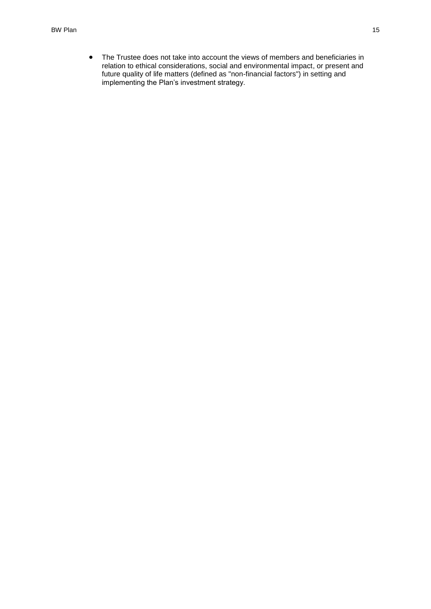• The Trustee does not take into account the views of members and beneficiaries in relation to ethical considerations, social and environmental impact, or present and future quality of life matters (defined as "non-financial factors") in setting and implementing the Plan's investment strategy.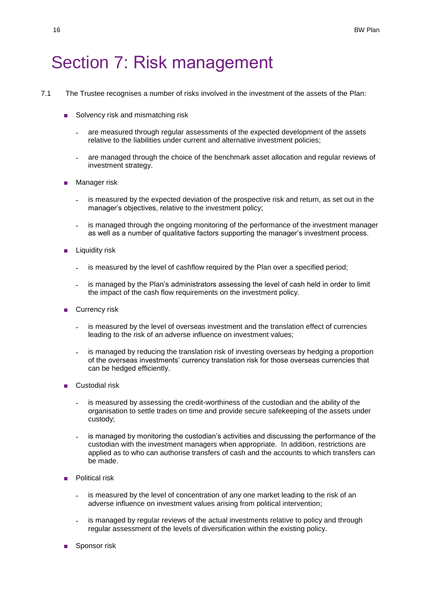# Section 7: Risk management

- 7.1 The Trustee recognises a number of risks involved in the investment of the assets of the Plan:
	- Solvency risk and mismatching risk
		- ˗ are measured through regular assessments of the expected development of the assets relative to the liabilities under current and alternative investment policies;
		- ˗ are managed through the choice of the benchmark asset allocation and regular reviews of investment strategy.
	- Manager risk
		- is measured by the expected deviation of the prospective risk and return, as set out in the manager's objectives, relative to the investment policy;
		- is managed through the ongoing monitoring of the performance of the investment manager as well as a number of qualitative factors supporting the manager's investment process.
	- Liquidity risk
		- is measured by the level of cashflow required by the Plan over a specified period;
		- is managed by the Plan's administrators assessing the level of cash held in order to limit the impact of the cash flow requirements on the investment policy.
	- Currency risk
		- ˗ is measured by the level of overseas investment and the translation effect of currencies leading to the risk of an adverse influence on investment values;
		- is managed by reducing the translation risk of investing overseas by hedging a proportion of the overseas investments' currency translation risk for those overseas currencies that can be hedged efficiently.
	- Custodial risk
		- is measured by assessing the credit-worthiness of the custodian and the ability of the organisation to settle trades on time and provide secure safekeeping of the assets under custody;
		- ˗ is managed by monitoring the custodian's activities and discussing the performance of the custodian with the investment managers when appropriate. In addition, restrictions are applied as to who can authorise transfers of cash and the accounts to which transfers can be made.
	- Political risk
		- ˗ is measured by the level of concentration of any one market leading to the risk of an adverse influence on investment values arising from political intervention;
		- is managed by regular reviews of the actual investments relative to policy and through regular assessment of the levels of diversification within the existing policy.
	- Sponsor risk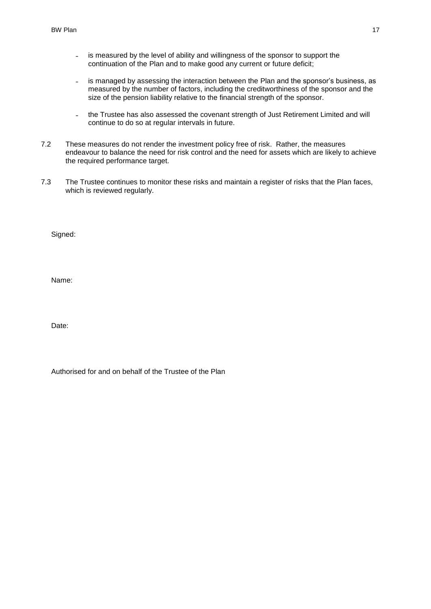- is measured by the level of ability and willingness of the sponsor to support the continuation of the Plan and to make good any current or future deficit;
- is managed by assessing the interaction between the Plan and the sponsor's business, as measured by the number of factors, including the creditworthiness of the sponsor and the size of the pension liability relative to the financial strength of the sponsor.
- the Trustee has also assessed the covenant strength of Just Retirement Limited and will continue to do so at regular intervals in future.
- 7.2 These measures do not render the investment policy free of risk. Rather, the measures endeavour to balance the need for risk control and the need for assets which are likely to achieve the required performance target.
- 7.3 The Trustee continues to monitor these risks and maintain a register of risks that the Plan faces, which is reviewed regularly.

Signed:

Name:

Date:

| Authorised for and on behalf of the Trustee of the Plan |  |  |  |  |  |  |  |
|---------------------------------------------------------|--|--|--|--|--|--|--|
|---------------------------------------------------------|--|--|--|--|--|--|--|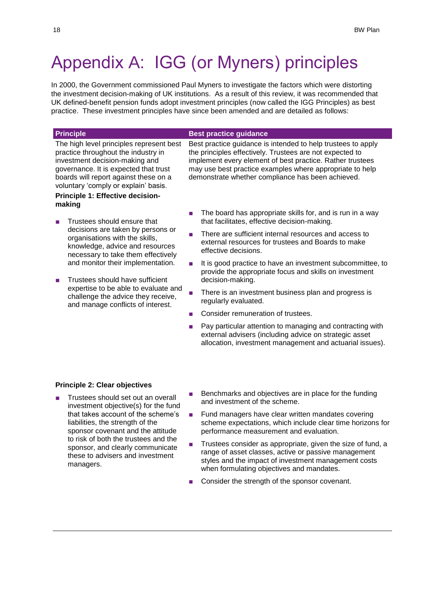# Appendix A: IGG (or Myners) principles

In 2000, the Government commissioned Paul Myners to investigate the factors which were distorting the investment decision-making of UK institutions. As a result of this review, it was recommended that UK defined-benefit pension funds adopt investment principles (now called the IGG Principles) as best practice. These investment principles have since been amended and are detailed as follows:

#### **Principle Best practice guidance** The high level principles represent best practice throughout the industry in investment decision-making and governance. It is expected that trust boards will report against these on a voluntary 'comply or explain' basis. Best practice guidance is intended to help trustees to apply the principles effectively. Trustees are not expected to implement every element of best practice. Rather trustees may use best practice examples where appropriate to help demonstrate whether compliance has been achieved. **Principle 1: Effective decisionmaking** ■ Trustees should ensure that decisions are taken by persons or organisations with the skills, knowledge, advice and resources necessary to take them effectively and monitor their implementation. ■ Trustees should have sufficient expertise to be able to evaluate and The board has appropriate skills for, and is run in a way that facilitates, effective decision-making. There are sufficient internal resources and access to external resources for trustees and Boards to make effective decisions. It is good practice to have an investment subcommittee, to provide the appropriate focus and skills on investment decision-making.

- There is an investment business plan and progress is regularly evaluated.
- Consider remuneration of trustees.
- Pay particular attention to managing and contracting with external advisers (including advice on strategic asset allocation, investment management and actuarial issues).

#### **Principle 2: Clear objectives**

Trustees should set out an overall investment objective(s) for the fund that takes account of the scheme's liabilities, the strength of the sponsor covenant and the attitude to risk of both the trustees and the sponsor, and clearly communicate these to advisers and investment managers.

challenge the advice they receive, and manage conflicts of interest.

- Benchmarks and objectives are in place for the funding and investment of the scheme.
- Fund managers have clear written mandates covering scheme expectations, which include clear time horizons for performance measurement and evaluation.
- Trustees consider as appropriate, given the size of fund, a range of asset classes, active or passive management styles and the impact of investment management costs when formulating objectives and mandates.
- Consider the strength of the sponsor covenant.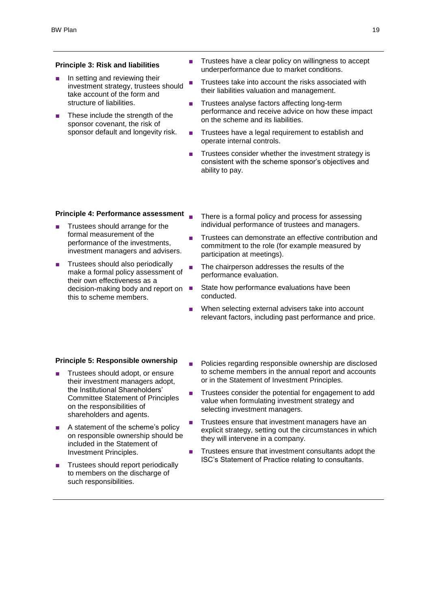#### **Principle 3: Risk and liabilities**

- In setting and reviewing their investment strategy, trustees should take account of the form and structure of liabilities.
- These include the strength of the sponsor covenant, the risk of sponsor default and longevity risk.
- Trustees have a clear policy on willingness to accept underperformance due to market conditions.
- Trustees take into account the risks associated with their liabilities valuation and management.
- Trustees analyse factors affecting long-term performance and receive advice on how these impact on the scheme and its liabilities.
- Trustees have a legal requirement to establish and operate internal controls.
- Trustees consider whether the investment strategy is consistent with the scheme sponsor's objectives and ability to pay.

#### **Principle 4: Performance assessment**

- Trustees should arrange for the formal measurement of the performance of the investments, investment managers and advisers.
- Trustees should also periodically make a formal policy assessment of their own effectiveness as a decision-making body and report on ■ this to scheme members.
- There is a formal policy and process for assessing individual performance of trustees and managers.
- Trustees can demonstrate an effective contribution and commitment to the role (for example measured by participation at meetings).
	- The chairperson addresses the results of the performance evaluation.
	- State how performance evaluations have been conducted.
	- When selecting external advisers take into account relevant factors, including past performance and price.

#### **Principle 5: Responsible ownership**

- Trustees should adopt, or ensure their investment managers adopt, the Institutional Shareholders' Committee Statement of Principles on the responsibilities of shareholders and agents.
- A statement of the scheme's policy on responsible ownership should be included in the Statement of Investment Principles.
- Trustees should report periodically to members on the discharge of such responsibilities.
- Policies regarding responsible ownership are disclosed to scheme members in the annual report and accounts or in the Statement of Investment Principles.
- Trustees consider the potential for engagement to add value when formulating investment strategy and selecting investment managers.
- Trustees ensure that investment managers have an explicit strategy, setting out the circumstances in which they will intervene in a company.
- Trustees ensure that investment consultants adopt the ISC's Statement of Practice relating to consultants.